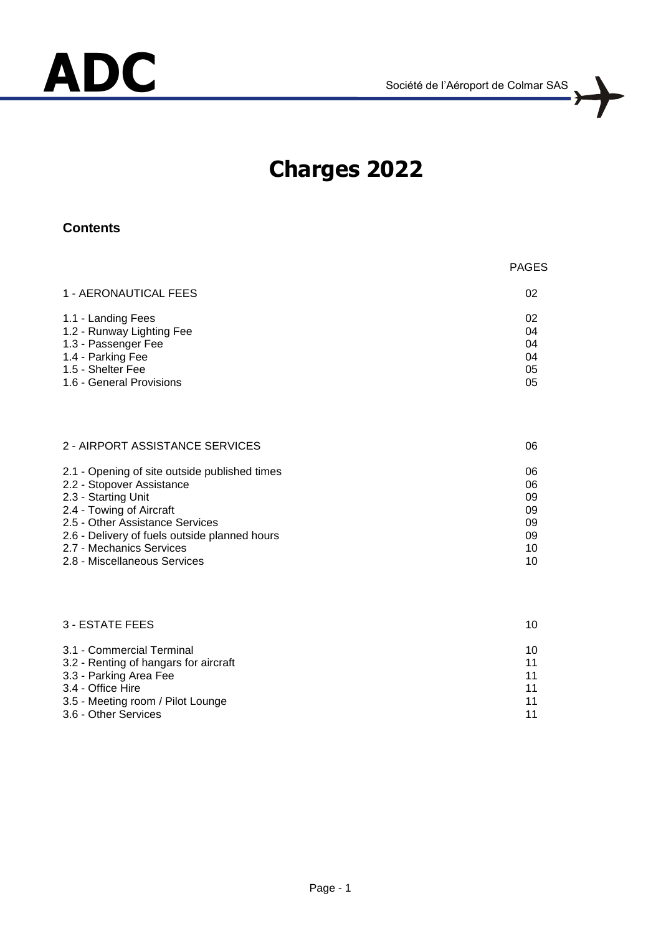

PAGES

# **ADC** Société de l'Aéroport de Colmar SAS

## **Charges 2022**

#### **Contents**

| 1 - AERONAUTICAL FEES                                                                                                                                                                                                                                                         | 02                                           |
|-------------------------------------------------------------------------------------------------------------------------------------------------------------------------------------------------------------------------------------------------------------------------------|----------------------------------------------|
| 1.1 - Landing Fees<br>1.2 - Runway Lighting Fee<br>1.3 - Passenger Fee<br>1.4 - Parking Fee<br>1.5 - Shelter Fee<br>1.6 - General Provisions                                                                                                                                  | 02<br>04<br>04<br>04<br>05<br>05             |
| 2 - AIRPORT ASSISTANCE SERVICES                                                                                                                                                                                                                                               | 06                                           |
| 2.1 - Opening of site outside published times<br>2.2 - Stopover Assistance<br>2.3 - Starting Unit<br>2.4 - Towing of Aircraft<br>2.5 - Other Assistance Services<br>2.6 - Delivery of fuels outside planned hours<br>2.7 - Mechanics Services<br>2.8 - Miscellaneous Services | 06<br>06<br>09<br>09<br>09<br>09<br>10<br>10 |
| <b>3 - ESTATE FEES</b>                                                                                                                                                                                                                                                        | 10                                           |
| 3.1 - Commercial Terminal<br>3.2 - Renting of hangars for aircraft<br>3.3 - Parking Area Fee<br>3.4 - Office Hire<br>3.5 - Meeting room / Pilot Lounge<br>3.6 - Other Services                                                                                                | 10<br>11<br>11<br>11<br>11<br>11             |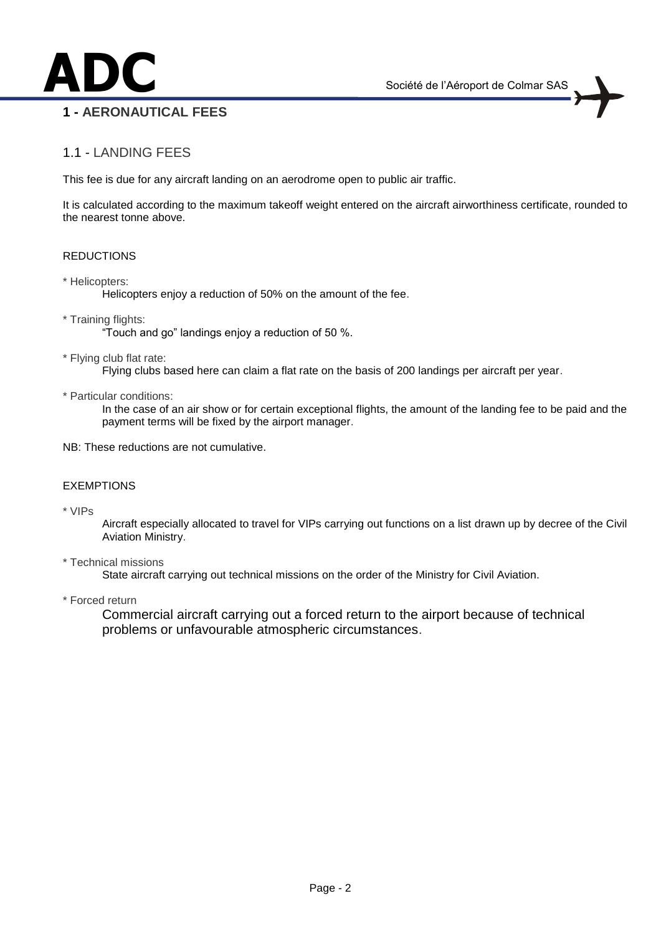## **ADC** Société de l'Aéroport de Colmar SAS **1 - AERONAUTICAL FEES**

1.1 - LANDING FEES

This fee is due for any aircraft landing on an aerodrome open to public air traffic.

It is calculated according to the maximum takeoff weight entered on the aircraft airworthiness certificate, rounded to the nearest tonne above.

#### **REDUCTIONS**

\* Helicopters:

Helicopters enjoy a reduction of 50% on the amount of the fee.

\* Training flights:

"Touch and go" landings enjoy a reduction of 50 %.

\* Flying club flat rate:

Flying clubs based here can claim a flat rate on the basis of 200 landings per aircraft per year.

\* Particular conditions:

In the case of an air show or for certain exceptional flights, the amount of the landing fee to be paid and the payment terms will be fixed by the airport manager.

NB: These reductions are not cumulative.

#### EXEMPTIONS

\* VIPs

Aircraft especially allocated to travel for VIPs carrying out functions on a list drawn up by decree of the Civil Aviation Ministry.

\* Technical missions

State aircraft carrying out technical missions on the order of the Ministry for Civil Aviation.

\* Forced return

Commercial aircraft carrying out a forced return to the airport because of technical problems or unfavourable atmospheric circumstances.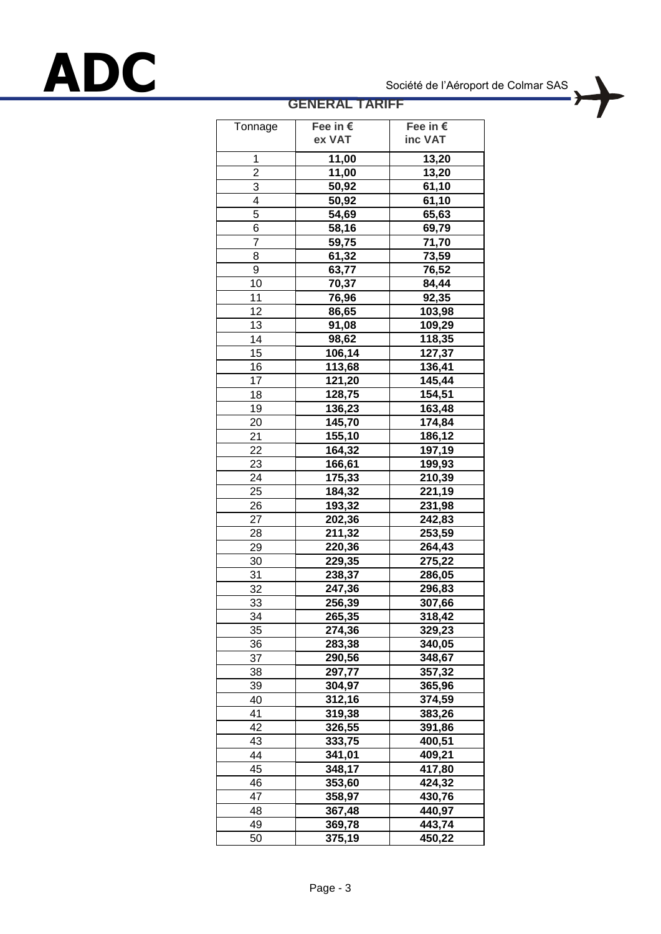# **ADC** Société de l'Aéroport de Colmar SAS

## **GENERAL TARIFF**

| Tonnage             | Fee in €            | Fee in € |
|---------------------|---------------------|----------|
|                     | ex VAT              | inc VAT  |
|                     |                     |          |
| 1<br>$\overline{2}$ | 11,00               | 13,20    |
|                     | 11,00               | 13,20    |
| 3                   | 50,92               | 61,10    |
| $\overline{4}$      | 50,92               | 61,10    |
| 5                   | 54,69               | 65,63    |
| 6                   | 58,16               | 69,79    |
| $\overline{7}$      | 59,75               | 71,70    |
| 8                   | 61,32               | 73,59    |
| 9                   | 63,77               | 76,52    |
| 10                  | 70,37               | 84,44    |
| 11                  | 76,96               | 92,35    |
| 12                  | 86,65               | 103,98   |
| 13                  | 91,08               | 109,29   |
| 14                  | 98,62               | 118,35   |
| 15                  | $\overline{106,}14$ | 127,37   |
| 16                  | 113,68              | 136,41   |
| 17                  | 121,20              | 145,44   |
| 18                  | 128,75              | 154,51   |
| 19                  | 136,23              | 163,48   |
| 20                  | 145,70              | 174,84   |
| 21                  | 155,10              | 186,12   |
| 22                  | 164,32              | 197,19   |
| 23                  |                     | 199,93   |
|                     | 166,61              |          |
| 24                  | 175,33              | 210,39   |
| 25                  | 184,32              | 221,19   |
| 26                  | 193,32              | 231,98   |
| 27                  | 202,36              | 242,83   |
| 28                  | 211,32              | 253,59   |
| 29                  | 220,36              | 264,43   |
| 30                  | 229,35              | 275,22   |
| 31                  | 238,37              | 286,05   |
| 32                  | 247,36              | 296,83   |
| 33                  | 256,39              | 307,66   |
| 34                  | 265,35              | 318,42   |
| 35                  | 274,36              | 329,23   |
| 36                  | 283,38              | 340,05   |
| 37                  | 290,56              | 348,67   |
| 38                  | 297,77              | 357,32   |
| 39                  | 304,97              | 365,96   |
| 40                  | 312,16              | 374,59   |
| 41                  | 319,38              | 383,26   |
| 42                  | 326,55              | 391,86   |
| 43                  | 333,75              | 400,51   |
| 44                  | 341,01              | 409,21   |
| 45                  | 348,17              | 417,80   |
| 46                  | 353,60              | 424,32   |
| 47                  | 358,97              | 430,76   |
| 48                  | 367,48              | 440,97   |
| 49                  | 369,78              | 443,74   |
|                     |                     |          |
| 50                  | 375,19              | 450,22   |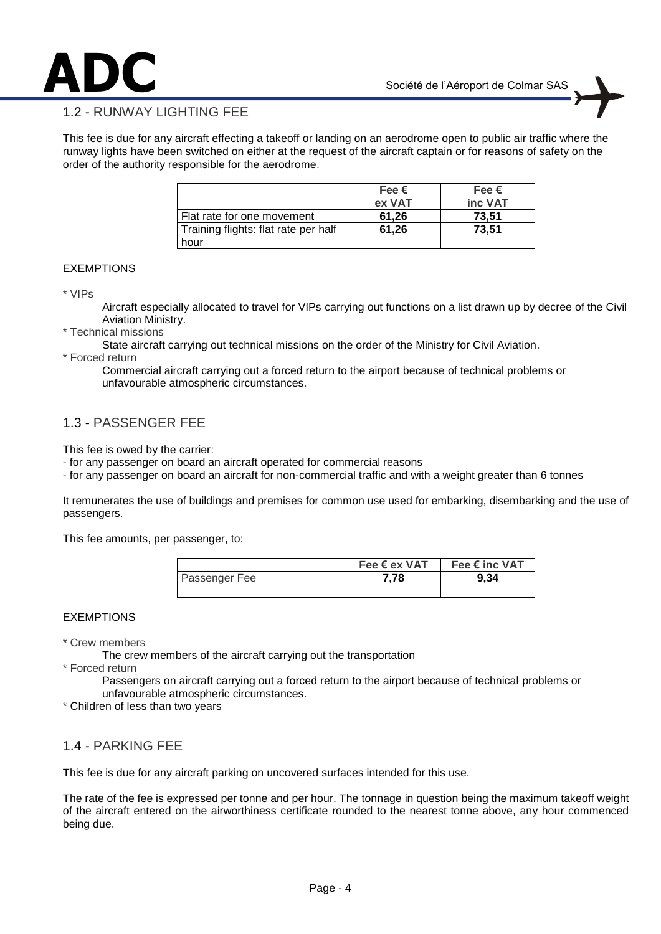

This fee is due for any aircraft effecting a takeoff or landing on an aerodrome open to public air traffic where the runway lights have been switched on either at the request of the aircraft captain or for reasons of safety on the order of the authority responsible for the aerodrome.

|                                      | Fee $\epsilon$<br>ex VAT | Fee $\bm{\epsilon}$<br>inc VAT |
|--------------------------------------|--------------------------|--------------------------------|
| Flat rate for one movement           | 61.26                    | 73.51                          |
| Training flights: flat rate per half | 61.26                    | 73.51                          |
| hour                                 |                          |                                |

#### EXEMPTIONS

\* VIPs

Aircraft especially allocated to travel for VIPs carrying out functions on a list drawn up by decree of the Civil Aviation Ministry.

- \* Technical missions
	- State aircraft carrying out technical missions on the order of the Ministry for Civil Aviation.
- \* Forced return

Commercial aircraft carrying out a forced return to the airport because of technical problems or unfavourable atmospheric circumstances.

#### 1.3 - PASSENGER FEE

This fee is owed by the carrier:

- for any passenger on board an aircraft operated for commercial reasons

- for any passenger on board an aircraft for non-commercial traffic and with a weight greater than 6 tonnes

It remunerates the use of buildings and premises for common use used for embarking, disembarking and the use of passengers.

This fee amounts, per passenger, to:

|                      | Fee $\epsilon$ ex VAT | Fee € inc VAT |
|----------------------|-----------------------|---------------|
| <b>Passenger Fee</b> | 7.78                  | 9.34          |
|                      |                       |               |

#### EXEMPTIONS

\* Crew members

The crew members of the aircraft carrying out the transportation

\* Forced return

Passengers on aircraft carrying out a forced return to the airport because of technical problems or unfavourable atmospheric circumstances.

\* Children of less than two years

#### 1.4 - PARKING FEE

This fee is due for any aircraft parking on uncovered surfaces intended for this use.

The rate of the fee is expressed per tonne and per hour. The tonnage in question being the maximum takeoff weight of the aircraft entered on the airworthiness certificate rounded to the nearest tonne above, any hour commenced being due.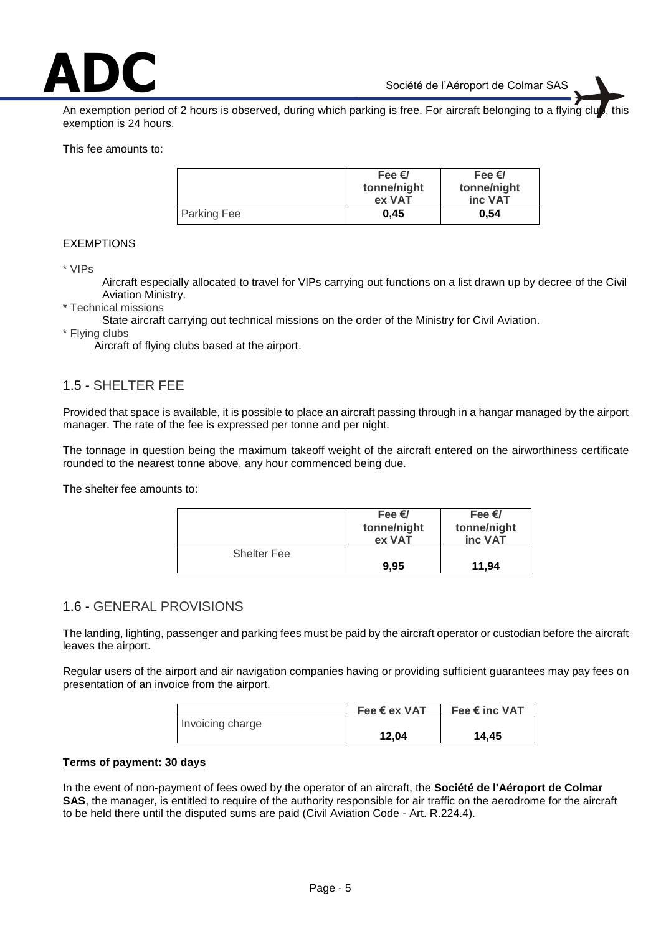

An exemption period of 2 hours is observed, during which parking is free. For aircraft belonging to a flying clu exemption is 24 hours.

This fee amounts to:

|             | Fee $\epsilon$ /<br>tonne/night<br>ex VAT | Fee $\epsilon$ /<br>tonne/night<br>inc VAT |
|-------------|-------------------------------------------|--------------------------------------------|
| Parking Fee | 0.45                                      | 0,54                                       |

#### EXEMPTIONS

\* VIPs

Aircraft especially allocated to travel for VIPs carrying out functions on a list drawn up by decree of the Civil Aviation Ministry.

- \* Technical missions
	- State aircraft carrying out technical missions on the order of the Ministry for Civil Aviation.
- \* Flying clubs

Aircraft of flying clubs based at the airport.

#### 1.5 - SHELTER FEE

Provided that space is available, it is possible to place an aircraft passing through in a hangar managed by the airport manager. The rate of the fee is expressed per tonne and per night.

The tonnage in question being the maximum takeoff weight of the aircraft entered on the airworthiness certificate rounded to the nearest tonne above, any hour commenced being due.

The shelter fee amounts to:

|                    | Fee $\epsilon$ /<br>tonne/night<br>ex VAT | Fee $\epsilon$ /<br>tonne/night<br>inc VAT |
|--------------------|-------------------------------------------|--------------------------------------------|
| <b>Shelter Fee</b> |                                           |                                            |
|                    | 9.95                                      | 11.94                                      |

#### 1.6 - GENERAL PROVISIONS

The landing, lighting, passenger and parking fees must be paid by the aircraft operator or custodian before the aircraft leaves the airport.

Regular users of the airport and air navigation companies having or providing sufficient guarantees may pay fees on presentation of an invoice from the airport.

|                  | Fee € ex VAT | Fee € inc VAT |
|------------------|--------------|---------------|
| Invoicing charge |              |               |
|                  | 12,04        | 14,45         |

#### **Terms of payment: 30 days**

In the event of non-payment of fees owed by the operator of an aircraft, the **Société de l'Aéroport de Colmar SAS**, the manager, is entitled to require of the authority responsible for air traffic on the aerodrome for the aircraft to be held there until the disputed sums are paid (Civil Aviation Code - Art. R.224.4).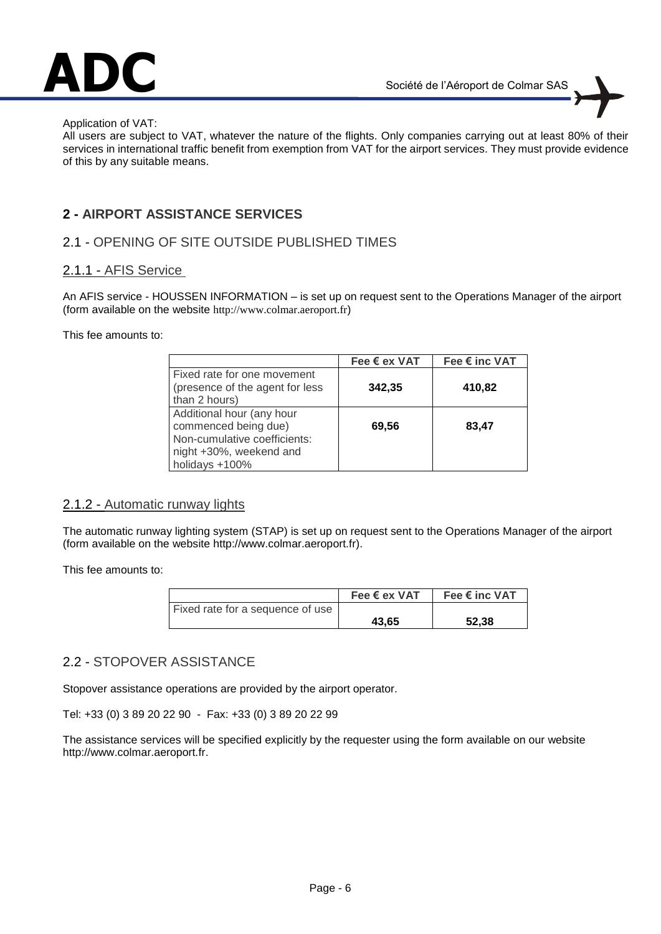

#### Application of VAT:

All users are subject to VAT, whatever the nature of the flights. Only companies carrying out at least 80% of their services in international traffic benefit from exemption from VAT for the airport services. They must provide evidence of this by any suitable means.

#### **2 - AIRPORT ASSISTANCE SERVICES**

#### 2.1 - OPENING OF SITE OUTSIDE PUBLISHED TIMES

#### 2.1.1 - AFIS Service

An AFIS service - HOUSSEN INFORMATION – is set up on request sent to the Operations Manager of the airport (form available on the website http://www.colmar.aeroport.fr)

This fee amounts to:

|                                                                                                                                | Fee € ex VAT | Fee € inc VAT |
|--------------------------------------------------------------------------------------------------------------------------------|--------------|---------------|
| Fixed rate for one movement<br>(presence of the agent for less<br>than 2 hours)                                                | 342,35       | 410,82        |
| Additional hour (any hour<br>commenced being due)<br>Non-cumulative coefficients:<br>night +30%, weekend and<br>holidays +100% | 69.56        | 83,47         |

#### 2.1.2 - Automatic runway lights

The automatic runway lighting system (STAP) is set up on request sent to the Operations Manager of the airport (form available on the website http://www.colmar.aeroport.fr).

This fee amounts to:

|                                  | Fee $\epsilon$ ex VAT | Fee € inc VAT |
|----------------------------------|-----------------------|---------------|
| Fixed rate for a sequence of use |                       |               |
|                                  | 43.65                 | 52.38         |

#### 2.2 - STOPOVER ASSISTANCE

Stopover assistance operations are provided by the airport operator.

Tel: +33 (0) 3 89 20 22 90 - Fax: +33 (0) 3 89 20 22 99

The assistance services will be specified explicitly by the requester using the form available on our website http://www.colmar.aeroport.fr.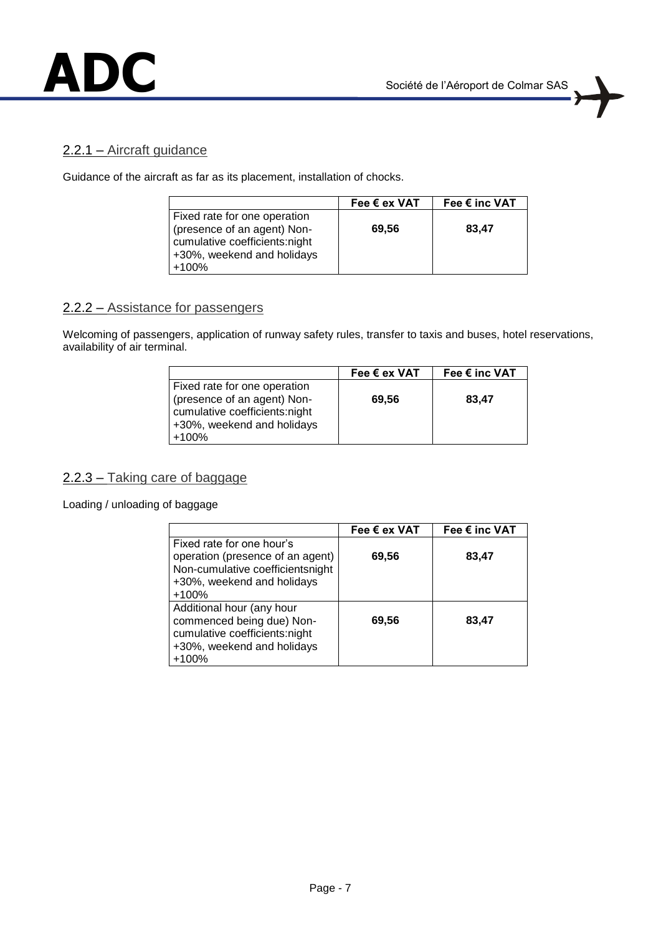

#### 2.2.1 – Aircraft guidance

Guidance of the aircraft as far as its placement, installation of chocks.

|                                                                                                                                     | Fee $\epsilon$ ex VAT | Fee € inc VAT |
|-------------------------------------------------------------------------------------------------------------------------------------|-----------------------|---------------|
| Fixed rate for one operation<br>(presence of an agent) Non-<br>cumulative coefficients:night<br>+30%, weekend and holidays<br>+100% | 69.56                 | 83,47         |

#### 2.2.2 – Assistance for passengers

Welcoming of passengers, application of runway safety rules, transfer to taxis and buses, hotel reservations, availability of air terminal.

|                                                                                                                                       | Fee $\epsilon$ ex VAT | Fee € inc VAT |
|---------------------------------------------------------------------------------------------------------------------------------------|-----------------------|---------------|
| Fixed rate for one operation<br>(presence of an agent) Non-<br>cumulative coefficients:night<br>+30%, weekend and holidays<br>$+100%$ | 69,56                 | 83,47         |

2.2.3 – Taking care of baggage

Loading / unloading of baggage

|                                                                                                                                  | Fee $\epsilon$ ex VAT | Fee € inc VAT |
|----------------------------------------------------------------------------------------------------------------------------------|-----------------------|---------------|
| Fixed rate for one hour's<br>operation (presence of an agent)                                                                    | 69,56                 | 83,47         |
| Non-cumulative coefficientsnight<br>+30%, weekend and holidays<br>$+100%$                                                        |                       |               |
| Additional hour (any hour<br>commenced being due) Non-<br>cumulative coefficients:night<br>+30%, weekend and holidays<br>$+100%$ | 69,56                 | 83,47         |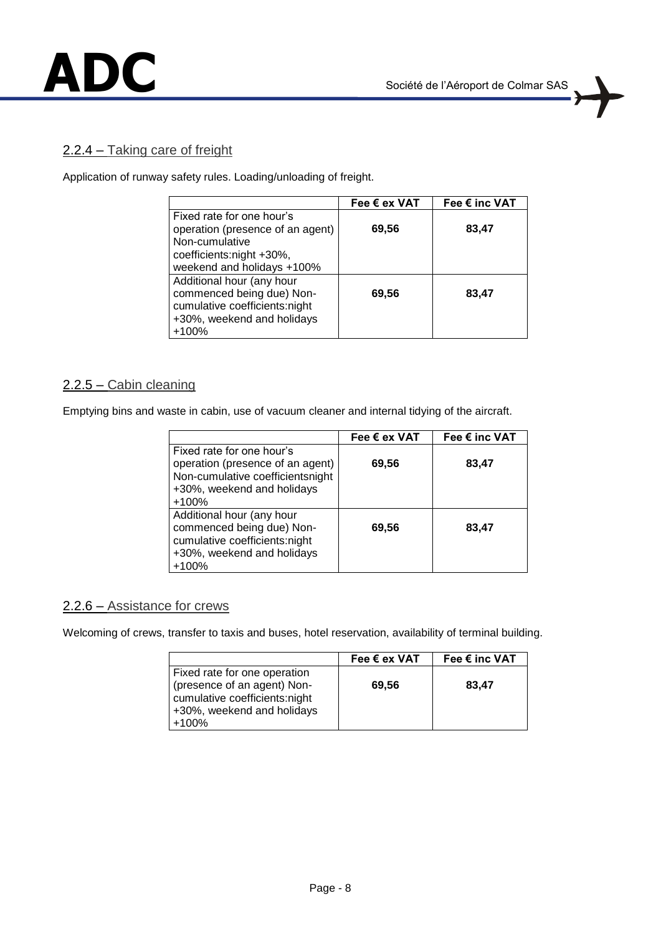#### 2.2.4 – Taking care of freight

Application of runway safety rules. Loading/unloading of freight.

|                                  | Fee $\epsilon$ ex VAT | Fee € inc VAT |
|----------------------------------|-----------------------|---------------|
| Fixed rate for one hour's        |                       |               |
| operation (presence of an agent) | 69,56                 | 83,47         |
| Non-cumulative                   |                       |               |
| coefficients:night +30%,         |                       |               |
| weekend and holidays +100%       |                       |               |
| Additional hour (any hour        |                       |               |
| commenced being due) Non-        | 69,56                 | 83,47         |
| cumulative coefficients:night    |                       |               |
| +30%, weekend and holidays       |                       |               |
| $+100%$                          |                       |               |

#### 2.2.5 – Cabin cleaning

Emptying bins and waste in cabin, use of vacuum cleaner and internal tidying of the aircraft.

|                                  | Fee € ex VAT | Fee € inc VAT |
|----------------------------------|--------------|---------------|
| Fixed rate for one hour's        |              |               |
| operation (presence of an agent) | 69,56        | 83,47         |
| Non-cumulative coefficientsnight |              |               |
| +30%, weekend and holidays       |              |               |
| $+100%$                          |              |               |
| Additional hour (any hour        |              |               |
| commenced being due) Non-        | 69,56        | 83,47         |
| cumulative coefficients:night    |              |               |
| +30%, weekend and holidays       |              |               |
| $+100%$                          |              |               |

#### 2.2.6 – Assistance for crews

Welcoming of crews, transfer to taxis and buses, hotel reservation, availability of terminal building.

|                                                                                                                                       | Fee $\epsilon$ ex VAT | Fee € inc VAT |
|---------------------------------------------------------------------------------------------------------------------------------------|-----------------------|---------------|
| Fixed rate for one operation<br>(presence of an agent) Non-<br>cumulative coefficients:night<br>+30%, weekend and holidays<br>$+100%$ | 69,56                 | 83,47         |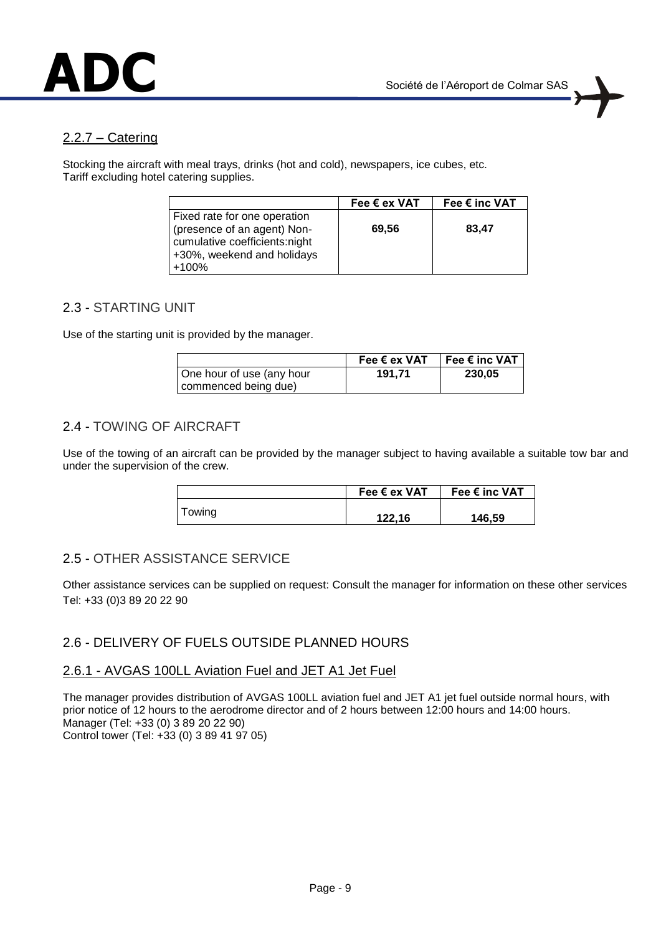

#### 2.2.7 – Catering

Stocking the aircraft with meal trays, drinks (hot and cold), newspapers, ice cubes, etc. Tariff excluding hotel catering supplies.

|                                                                                                                                     | Fee $\epsilon$ ex VAT | Fee € inc VAT |
|-------------------------------------------------------------------------------------------------------------------------------------|-----------------------|---------------|
| Fixed rate for one operation<br>(presence of an agent) Non-<br>cumulative coefficients:night<br>+30%, weekend and holidays<br>+100% | 69,56                 | 83,47         |

#### 2.3 - STARTING UNIT

Use of the starting unit is provided by the manager.

|                           | Fee $\epsilon$ ex VAT | Fee € inc VAT |
|---------------------------|-----------------------|---------------|
| One hour of use (any hour | 191.71                | 230,05        |
| commenced being due)      |                       |               |

#### 2.4 - TOWING OF AIRCRAFT

Use of the towing of an aircraft can be provided by the manager subject to having available a suitable tow bar and under the supervision of the crew.

|        | Fee $\epsilon$ ex VAT | Fee € inc VAT |
|--------|-----------------------|---------------|
| Towing | 122,16                | 146,59        |

#### 2.5 - OTHER ASSISTANCE SERVICE

Other assistance services can be supplied on request: Consult the manager for information on these other services Tel: +33 (0)3 89 20 22 90

#### 2.6 - DELIVERY OF FUELS OUTSIDE PLANNED HOURS

#### 2.6.1 - AVGAS 100LL Aviation Fuel and JET A1 Jet Fuel

The manager provides distribution of AVGAS 100LL aviation fuel and JET A1 jet fuel outside normal hours, with prior notice of 12 hours to the aerodrome director and of 2 hours between 12:00 hours and 14:00 hours. Manager (Tel: +33 (0) 3 89 20 22 90) Control tower (Tel: +33 (0) 3 89 41 97 05)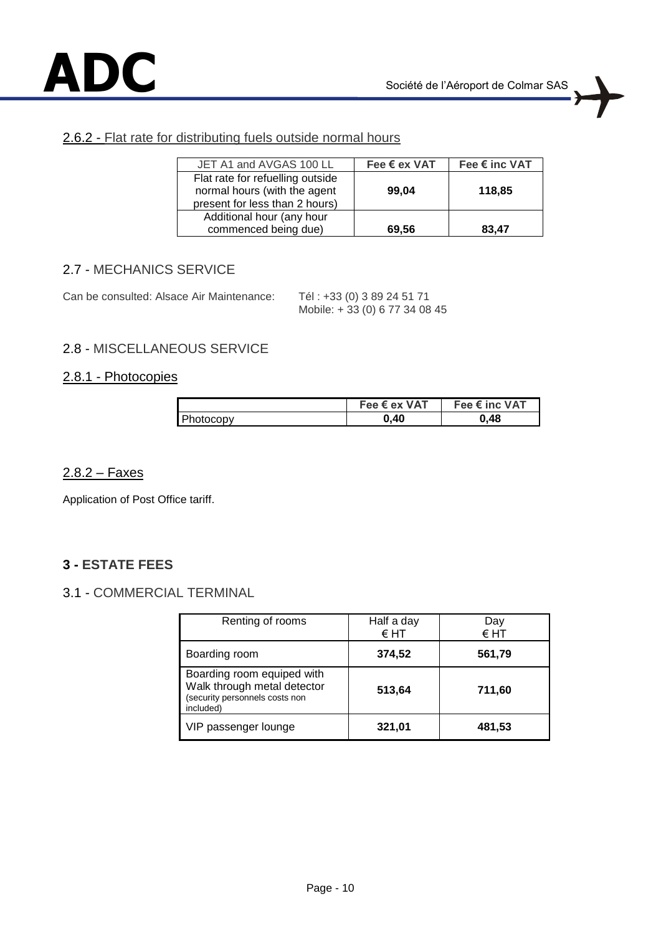

#### 2.6.2 - Flat rate for distributing fuels outside normal hours

| JET A1 and AVGAS 100 LL                                                                            | Fee $\epsilon$ ex VAT | Fee € inc VAT |
|----------------------------------------------------------------------------------------------------|-----------------------|---------------|
| Flat rate for refuelling outside<br>normal hours (with the agent<br>present for less than 2 hours) | 99,04                 | 118,85        |
| Additional hour (any hour<br>commenced being due)                                                  | 69,56                 | 83.47         |

#### 2.7 - MECHANICS SERVICE

Can be consulted: Alsace Air Maintenance: Tél : +33 (0) 3 89 24 51 71

Mobile: + 33 (0) 6 77 34 08 45

### 2.8 - MISCELLANEOUS SERVICE

#### 2.8.1 - Photocopies

|           | Fee € ex VAT | Fee € inc VAT |
|-----------|--------------|---------------|
| Photocopy | 0.40         | 0.48          |

#### 2.8.2 – Faxes

Application of Post Office tariff.

### **3 - ESTATE FEES**

### 3.1 - COMMERCIAL TERMINAL

| Renting of rooms                                                                                         | Half a day<br>$\epsilon$ HT | Dav<br>$\epsilon$ HT |
|----------------------------------------------------------------------------------------------------------|-----------------------------|----------------------|
| Boarding room                                                                                            | 374,52                      | 561,79               |
| Boarding room equiped with<br>Walk through metal detector<br>(security personnels costs non<br>included) | 513,64                      | 711,60               |
| VIP passenger lounge                                                                                     | 321,01                      | 481,53               |